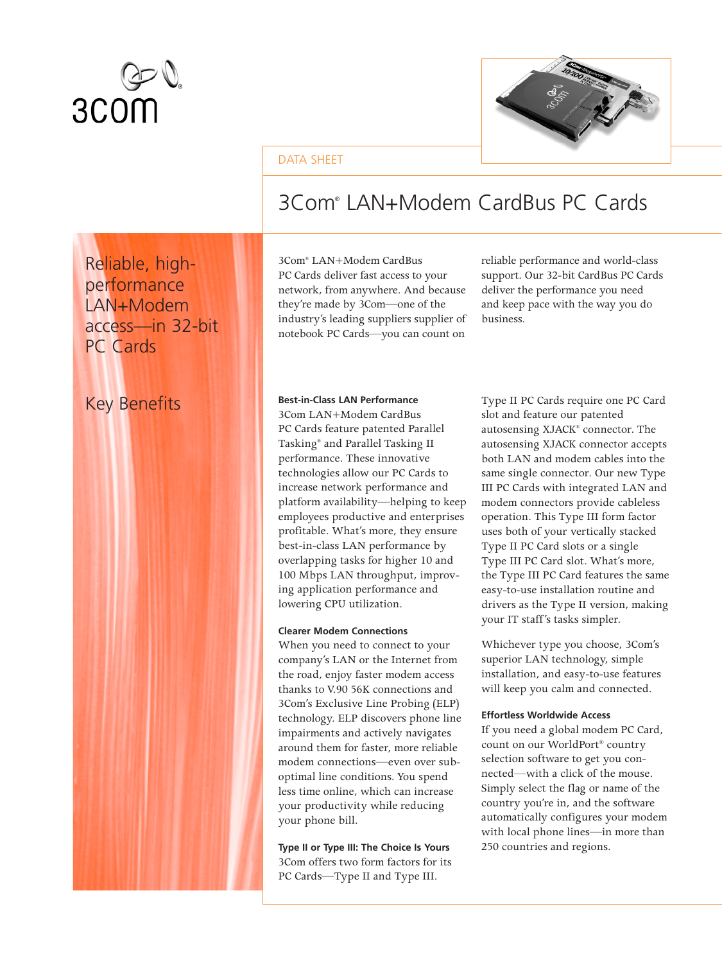

Reliable, highperformance LAN+Modem

access—in 32-bit

PC Cards



### DATA SHEET

# 3Com® LAN+Modem CardBus PC Cards

3Com® LAN+Modem CardBus PC Cards deliver fast access to your network, from anywhere. And because they're made by 3Com—one of the industry's leading suppliers supplier of notebook PC Cards—you can count on

reliable performance and world-class support. Our 32-bit CardBus PC Cards deliver the performance you need and keep pace with the way you do business.

#### Key Benefits **Best-in-Class LAN Performance**

3Com LAN+Modem CardBus PC Cards feature patented Parallel Tasking® and Parallel Tasking II performance. These innovative technologies allow our PC Cards to increase network performance and platform availability—helping to keep employees productive and enterprises profitable. What's more, they ensure best-in-class LAN performance by overlapping tasks for higher 10 and 100 Mbps LAN throughput, improving application performance and lowering CPU utilization.

#### **Clearer Modem Connections**

When you need to connect to your company's LAN or the Internet from the road, enjoy faster modem access thanks to V.90 56K connections and 3Com's Exclusive Line Probing (ELP) technology. ELP discovers phone line impairments and actively navigates around them for faster, more reliable modem connections—even over suboptimal line conditions. You spend less time online, which can increase your productivity while reducing your phone bill.

**Type II or Type III: The Choice Is Yours** 3Com offers two form factors for its PC Cards—Type II and Type III.

Type II PC Cards require one PC Card slot and feature our patented autosensing XJACK® connector. The autosensing XJACK connector accepts both LAN and modem cables into the same single connector. Our new Type III PC Cards with integrated LAN and modem connectors provide cableless operation. This Type III form factor uses both of your vertically stacked Type II PC Card slots or a single Type III PC Card slot. What's more, the Type III PC Card features the same easy-to-use installation routine and drivers as the Type II version, making your IT staff's tasks simpler.

Whichever type you choose, 3Com's superior LAN technology, simple installation, and easy-to-use features will keep you calm and connected.

#### **Effortless Worldwide Access**

If you need a global modem PC Card, count on our WorldPort® country selection software to get you connected—with a click of the mouse. Simply select the flag or name of the country you're in, and the software automatically configures your modem with local phone lines—in more than 250 countries and regions.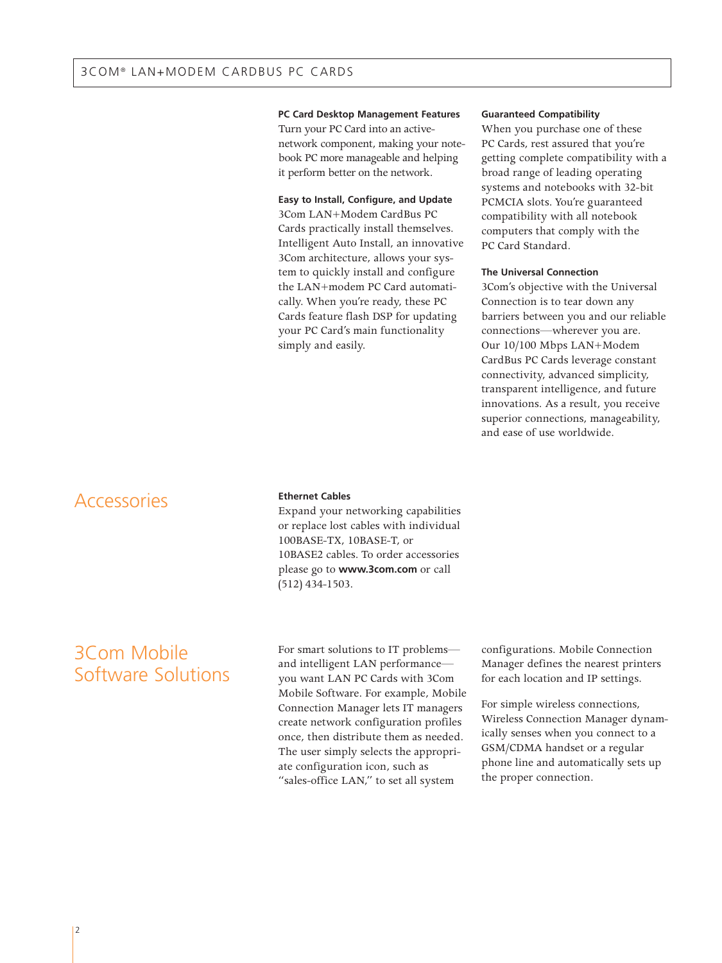#### **PC Card Desktop Management Features**

Turn your PC Card into an activenetwork component, making your notebook PC more manageable and helping it perform better on the network.

#### **Easy to Install, Configure, and Update**

3Com LAN+Modem CardBus PC Cards practically install themselves. Intelligent Auto Install, an innovative 3Com architecture, allows your system to quickly install and configure the LAN+modem PC Card automatically. When you're ready, these PC Cards feature flash DSP for updating your PC Card's main functionality simply and easily.

#### **Guaranteed Compatibility**

When you purchase one of these PC Cards, rest assured that you're getting complete compatibility with a broad range of leading operating systems and notebooks with 32-bit PCMCIA slots. You're guaranteed compatibility with all notebook computers that comply with the PC Card Standard.

### **The Universal Connection**

3Com's objective with the Universal Connection is to tear down any barriers between you and our reliable connections—wherever you are. Our 10/100 Mbps LAN+Modem CardBus PC Cards leverage constant connectivity, advanced simplicity, transparent intelligence, and future innovations. As a result, you receive superior connections, manageability, and ease of use worldwide.

### **Accessories**

### **Ethernet Cables**

Expand your networking capabilities or replace lost cables with individual 100BASE-TX, 10BASE-T, or 10BASE2 cables. To order accessories please go to **www.3com.com** or call (512) 434-1503.

### 3Com Mobile Software Solutions

For smart solutions to IT problems and intelligent LAN performance you want LAN PC Cards with 3Com Mobile Software. For example, Mobile Connection Manager lets IT managers create network configuration profiles once, then distribute them as needed. The user simply selects the appropriate configuration icon, such as "sales-office LAN," to set all system

configurations. Mobile Connection Manager defines the nearest printers for each location and IP settings.

For simple wireless connections, Wireless Connection Manager dynamically senses when you connect to a GSM/CDMA handset or a regular phone line and automatically sets up the proper connection.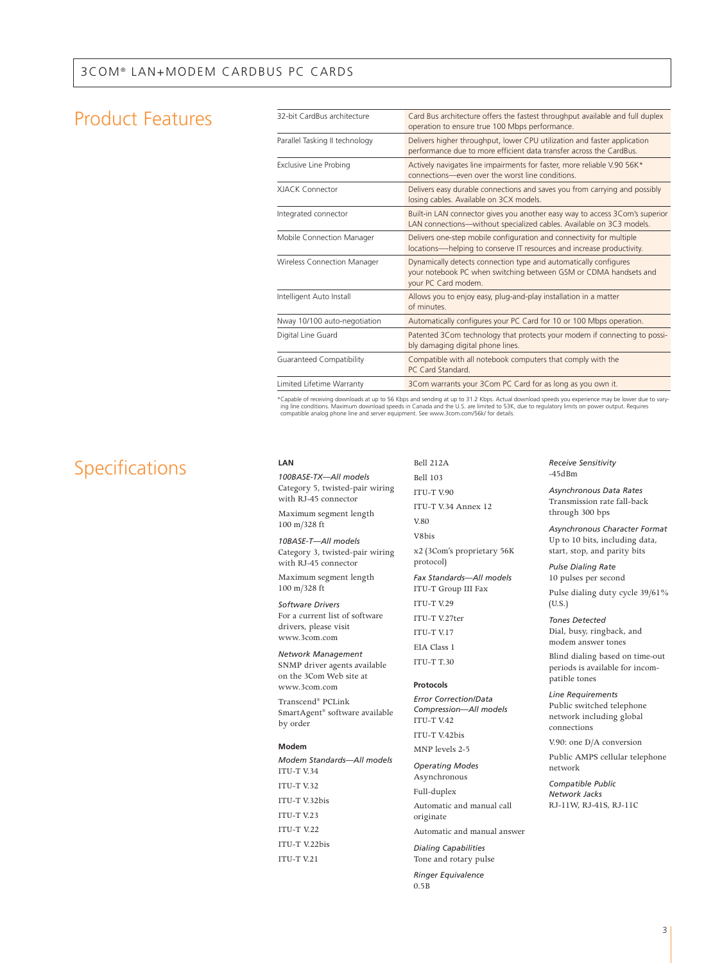### Product Features

| 32-bit CardBus architecture    | Card Bus architecture offers the fastest throughput available and full duplex<br>operation to ensure true 100 Mbps performance.                             |  |
|--------------------------------|-------------------------------------------------------------------------------------------------------------------------------------------------------------|--|
| Parallel Tasking II technology | Delivers higher throughput, lower CPU utilization and faster application<br>performance due to more efficient data transfer across the CardBus.             |  |
| Exclusive Line Probing         | Actively navigates line impairments for faster, more reliable V.90 56K*<br>connections-even over the worst line conditions.                                 |  |
| <b>XIACK Connector</b>         | Delivers easy durable connections and saves you from carrying and possibly<br>losing cables. Available on 3CX models.                                       |  |
| Integrated connector           | Built-in LAN connector gives you another easy way to access 3Com's superior<br>LAN connections-without specialized cables. Available on 3C3 models.         |  |
| Mobile Connection Manager      | Delivers one-step mobile configuration and connectivity for multiple<br>locations-helping to conserve IT resources and increase productivity.               |  |
| Wireless Connection Manager    | Dynamically detects connection type and automatically configures<br>your notebook PC when switching between GSM or CDMA handsets and<br>your PC Card modem. |  |
| Intelligent Auto Install       | Allows you to enjoy easy, plug-and-play installation in a matter<br>of minutes.                                                                             |  |
| Nway 10/100 auto-negotiation   | Automatically configures your PC Card for 10 or 100 Mbps operation.                                                                                         |  |
| Digital Line Guard             | Patented 3Com technology that protects your modem if connecting to possi-<br>bly damaging digital phone lines.                                              |  |
| Guaranteed Compatibility       | Compatible with all notebook computers that comply with the<br>PC Card Standard.                                                                            |  |
| Limited Lifetime Warranty      | 3Com warrants your 3Com PC Card for as long as you own it.                                                                                                  |  |
|                                |                                                                                                                                                             |  |

\*Capable of receiving downloads at up to 56 Kbps and sending at up to 31.2 Kbps. Actual download speeds you experience may be lower due to varying line conditions. Maximum download speeds in Canada and the U.S. are limited to 53K, due to regulatory limits on power output. Requires<br>compatible analog phone line and server equipment. See www.3com.com/56k/ for detail

## Specifications **LAN**

*100BASE-TX—All models*  Category 5, twisted-pair wiring with RJ-45 connector

Maximum segment length 100 m/328 ft

*10BASE-T—All models* Category 3, twisted-pair wiring with RJ-45 connector

Maximum segment length 100 m/328 ft

*Software Drivers* For a current list of software drivers, please visit www.3com.com

*Network Management* SNMP driver agents available on the 3Com Web site at www.3com.com

Transcend® PCLink SmartAgent® software available by order

#### **Modem**

*Modem Standards—All models* ITU-T V.34 ITU-T V.32 ITU-T V.32bis ITU-T V.23 ITU-T V22 ITU-T V.22bis ITU-T V.21

Bell 212A Bell 103 ITU-T V.90 ITU-T V.34 Annex 12 V.80 V8bis x2 (3Com's proprietary 56K protocol) *Fax Standards—All models* ITU-T Group III Fax ITU-T V.29 ITU-T V.27ter ITU-T V.17 EIA Class 1 ITU-T T.30

### **Protocols**

*Error Correction/Data Compression—All models* ITU-T V.42

ITU-T V.42bis MNP levels 2-5

*Operating Modes* Asynchronous

Full-duplex

Automatic and manual call originate

Automatic and manual answer

*Dialing Capabilities* Tone and rotary pulse

*Ringer Equivalence* 0.5B

*Receive Sensitivity*  $-45$ d $Bm$ 

*Asynchronous Data Rates* Transmission rate fall-back through 300 bps

*Asynchronous Character Format* Up to 10 bits, including data, start, stop, and parity bits

*Pulse Dialing Rate* 10 pulses per second

Pulse dialing duty cycle 39/61% (U.S.)

*Tones Detected* Dial, busy, ringback, and modem answer tones

Blind dialing based on time-out periods is available for incompatible tones

*Line Requirements* Public switched telephone network including global connections

V.90: one D/A conversion

Public AMPS cellular telephone network

*Compatible Public Network Jacks* RJ-11W, RJ-41S, RJ-11C

3